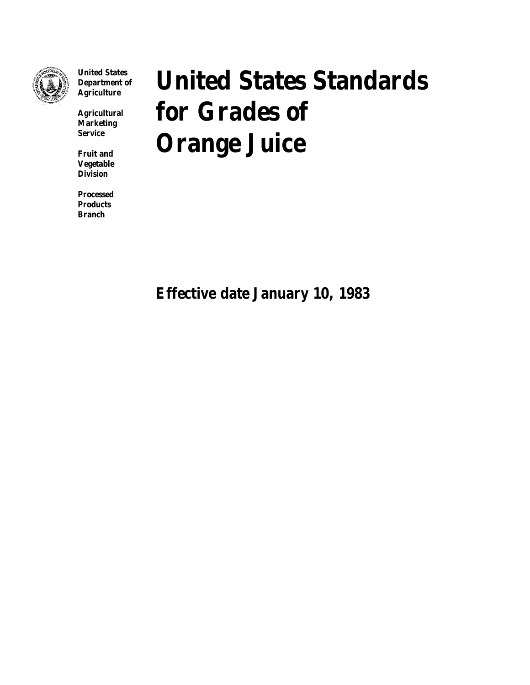

**United States Department of Agriculture**

**Agricultural Marketing Service**

**Fruit and Vegetable Division**

**Processed Products Branch**

# **United States Standards for Grades of Orange Juice**

**Effective date January 10, 1983**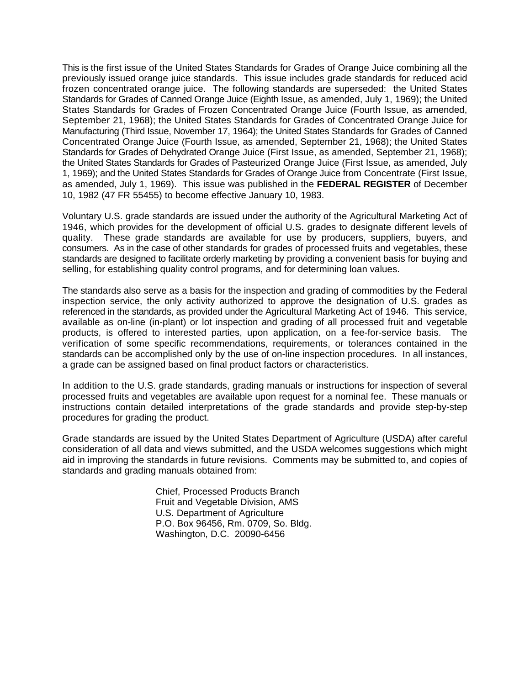This is the first issue of the United States Standards for Grades of Orange Juice combining all the previously issued orange juice standards. This issue includes grade standards for reduced acid frozen concentrated orange juice. The following standards are superseded: the United States Standards for Grades of Canned Orange Juice (Eighth Issue, as amended, July 1, 1969); the United States Standards for Grades of Frozen Concentrated Orange Juice (Fourth Issue, as amended, September 21, 1968); the United States Standards for Grades of Concentrated Orange Juice for Manufacturing (Third Issue, November 17, 1964); the United States Standards for Grades of Canned Concentrated Orange Juice (Fourth Issue, as amended, September 21, 1968); the United States Standards for Grades of Dehydrated Orange Juice (First Issue, as amended, September 21, 1968); the United States Standards for Grades of Pasteurized Orange Juice (First Issue, as amended, July 1, 1969); and the United States Standards for Grades of Orange Juice from Concentrate (First Issue, as amended, July 1, 1969). This issue was published in the **FEDERAL REGISTER** of December 10, 1982 (47 FR 55455) to become effective January 10, 1983.

Voluntary U.S. grade standards are issued under the authority of the Agricultural Marketing Act of 1946, which provides for the development of official U.S. grades to designate different levels of quality. These grade standards are available for use by producers, suppliers, buyers, and consumers. As in the case of other standards for grades of processed fruits and vegetables, these standards are designed to facilitate orderly marketing by providing a convenient basis for buying and selling, for establishing quality control programs, and for determining loan values.

The standards also serve as a basis for the inspection and grading of commodities by the Federal inspection service, the only activity authorized to approve the designation of U.S. grades as referenced in the standards, as provided under the Agricultural Marketing Act of 1946. This service, available as on-line (in-plant) or lot inspection and grading of all processed fruit and vegetable products, is offered to interested parties, upon application, on a fee-for-service basis. The verification of some specific recommendations, requirements, or tolerances contained in the standards can be accomplished only by the use of on-line inspection procedures. In all instances, a grade can be assigned based on final product factors or characteristics.

In addition to the U.S. grade standards, grading manuals or instructions for inspection of several processed fruits and vegetables are available upon request for a nominal fee. These manuals or instructions contain detailed interpretations of the grade standards and provide step-by-step procedures for grading the product.

Grade standards are issued by the United States Department of Agriculture (USDA) after careful consideration of all data and views submitted, and the USDA welcomes suggestions which might aid in improving the standards in future revisions. Comments may be submitted to, and copies of standards and grading manuals obtained from:

> Chief, Processed Products Branch Fruit and Vegetable Division, AMS U.S. Department of Agriculture P.O. Box 96456, Rm. 0709, So. Bldg. Washington, D.C. 20090-6456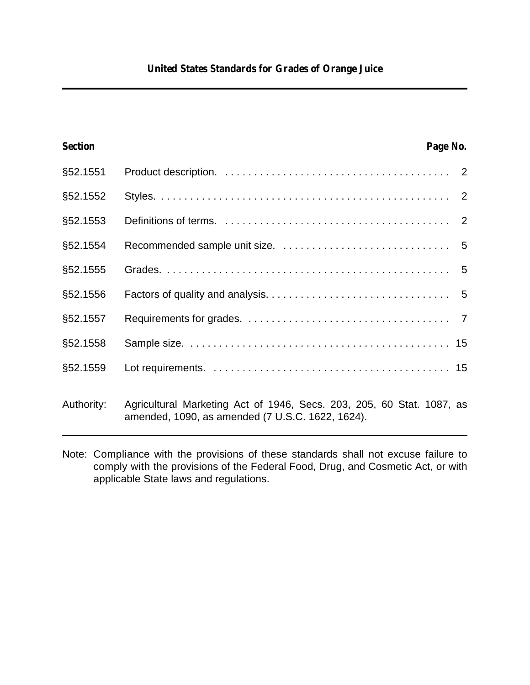| <b>Section</b> |                                                                                                                           | Page No. |  |
|----------------|---------------------------------------------------------------------------------------------------------------------------|----------|--|
| §52.1551       |                                                                                                                           |          |  |
| §52.1552       |                                                                                                                           |          |  |
| §52.1553       |                                                                                                                           |          |  |
| §52.1554       |                                                                                                                           |          |  |
| §52.1555       |                                                                                                                           |          |  |
| §52.1556       |                                                                                                                           |          |  |
| §52.1557       |                                                                                                                           |          |  |
| §52.1558       |                                                                                                                           |          |  |
| §52.1559       |                                                                                                                           |          |  |
| Authority:     | Agricultural Marketing Act of 1946, Secs. 203, 205, 60 Stat. 1087, as<br>amended, 1090, as amended (7 U.S.C. 1622, 1624). |          |  |

Note: Compliance with the provisions of these standards shall not excuse failure to comply with the provisions of the Federal Food, Drug, and Cosmetic Act, or with applicable State laws and regulations.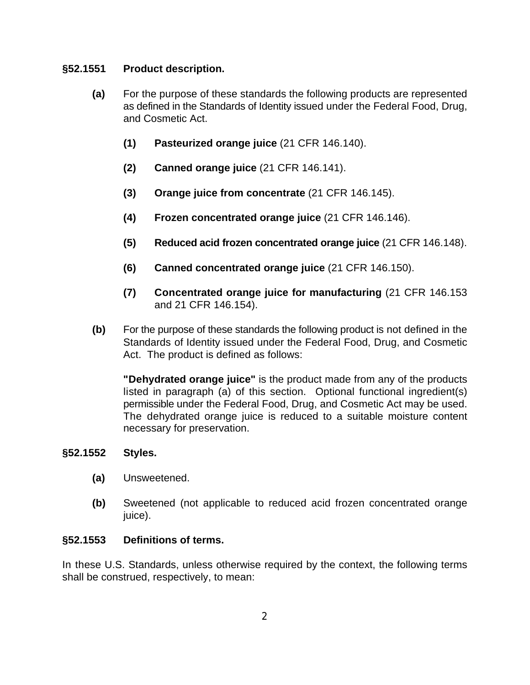## **§52.1551 Product description.**

- **(a)** For the purpose of these standards the following products are represented as defined in the Standards of Identity issued under the Federal Food, Drug, and Cosmetic Act.
	- **(1) Pasteurized orange juice** (21 CFR 146.140).
	- **(2) Canned orange juice** (21 CFR 146.141).
	- **(3) Orange juice from concentrate** (21 CFR 146.145).
	- **(4) Frozen concentrated orange juice** (21 CFR 146.146).
	- **(5) Reduced acid frozen concentrated orange juice** (21 CFR 146.148).
	- **(6) Canned concentrated orange juice** (21 CFR 146.150).
	- **(7) Concentrated orange juice for manufacturing** (21 CFR 146.153 and 21 CFR 146.154).
- **(b)** For the purpose of these standards the following product is not defined in the Standards of Identity issued under the Federal Food, Drug, and Cosmetic Act. The product is defined as follows:

**"Dehydrated orange juice"** is the product made from any of the products listed in paragraph (a) of this section. Optional functional ingredient(s) permissible under the Federal Food, Drug, and Cosmetic Act may be used. The dehydrated orange juice is reduced to a suitable moisture content necessary for preservation.

## **§52.1552 Styles.**

- **(a)** Unsweetened.
- **(b)** Sweetened (not applicable to reduced acid frozen concentrated orange iuice).

## **§52.1553 Definitions of terms.**

In these U.S. Standards, unless otherwise required by the context, the following terms shall be construed, respectively, to mean: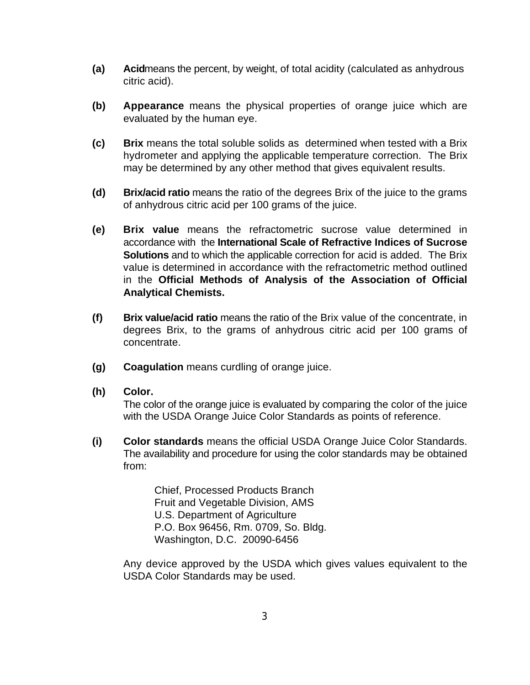- **(a) Acid**means the percent, by weight, of total acidity (calculated as anhydrous citric acid).
- **(b) Appearance** means the physical properties of orange juice which are evaluated by the human eye.
- **(c) Brix** means the total soluble solids as determined when tested with a Brix hydrometer and applying the applicable temperature correction. The Brix may be determined by any other method that gives equivalent results.
- **(d) Brix/acid ratio** means the ratio of the degrees Brix of the juice to the grams of anhydrous citric acid per 100 grams of the juice.
- **(e) Brix value** means the refractometric sucrose value determined in accordance with the **International Scale of Refractive Indices of Sucrose Solutions** and to which the applicable correction for acid is added. The Brix value is determined in accordance with the refractometric method outlined in the **Official Methods of Analysis of the Association of Official Analytical Chemists.**
- **(f) Brix value/acid ratio** means the ratio of the Brix value of the concentrate, in degrees Brix, to the grams of anhydrous citric acid per 100 grams of concentrate.
- **(g) Coagulation** means curdling of orange juice.
- **(h) Color.**

The color of the orange juice is evaluated by comparing the color of the juice with the USDA Orange Juice Color Standards as points of reference.

**(i) Color standards** means the official USDA Orange Juice Color Standards. The availability and procedure for using the color standards may be obtained from:

> Chief, Processed Products Branch Fruit and Vegetable Division, AMS U.S. Department of Agriculture P.O. Box 96456, Rm. 0709, So. Bldg. Washington, D.C. 20090-6456

Any device approved by the USDA which gives values equivalent to the USDA Color Standards may be used.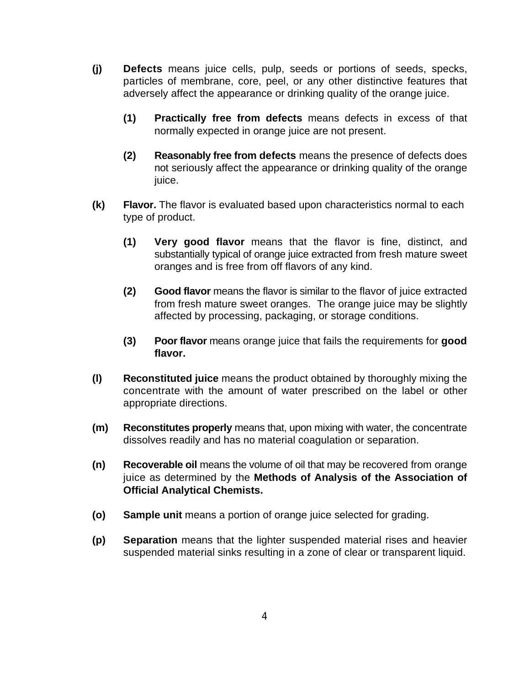- **(j) Defects** means juice cells, pulp, seeds or portions of seeds, specks, particles of membrane, core, peel, or any other distinctive features that adversely affect the appearance or drinking quality of the orange juice.
	- **(1) Practically free from defects** means defects in excess of that normally expected in orange juice are not present.
	- **(2) Reasonably free from defects** means the presence of defects does not seriously affect the appearance or drinking quality of the orange juice.
- **(k) Flavor.** The flavor is evaluated based upon characteristics normal to each type of product.
	- **(1) Very good flavor** means that the flavor is fine, distinct, and substantially typical of orange juice extracted from fresh mature sweet oranges and is free from off flavors of any kind.
	- **(2) Good flavor** means the flavor is similar to the flavor of juice extracted from fresh mature sweet oranges. The orange juice may be slightly affected by processing, packaging, or storage conditions.
	- **(3) Poor flavor** means orange juice that fails the requirements for **good flavor.**
- **(l) Reconstituted juice** means the product obtained by thoroughly mixing the concentrate with the amount of water prescribed on the label or other appropriate directions.
- **(m) Reconstitutes properly** means that, upon mixing with water, the concentrate dissolves readily and has no material coagulation or separation.
- **(n) Recoverable oil** means the volume of oil that may be recovered from orange juice as determined by the **Methods of Analysis of the Association of Official Analytical Chemists.**
- **(o) Sample unit** means a portion of orange juice selected for grading.
- **(p) Separation** means that the lighter suspended material rises and heavier suspended material sinks resulting in a zone of clear or transparent liquid.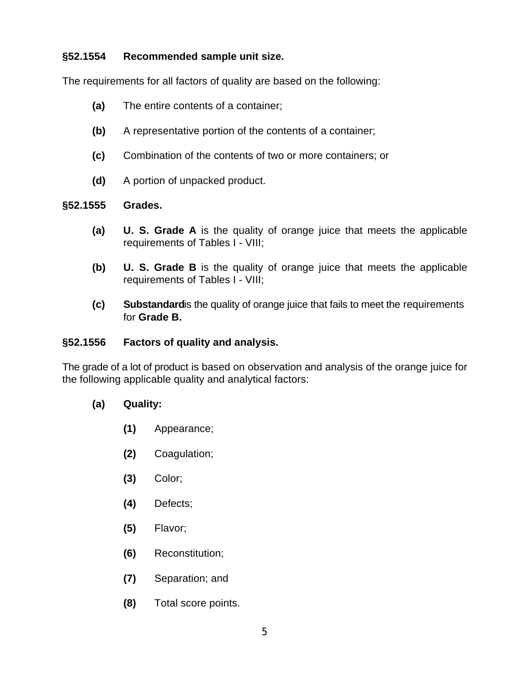## **§52.1554 Recommended sample unit size.**

The requirements for all factors of quality are based on the following:

- **(a)** The entire contents of a container;
- **(b)** A representative portion of the contents of a container;
- **(c)** Combination of the contents of two or more containers; or
- **(d)** A portion of unpacked product.

## **§52.1555 Grades.**

- **(a) U. S. Grade A** is the quality of orange juice that meets the applicable requirements of Tables I - VIII;
- **(b) U. S. Grade B** is the quality of orange juice that meets the applicable requirements of Tables I - VIII;
- **(c) Substandard**is the quality of orange juice that fails to meet the requirements for **Grade B.**

## **§52.1556 Factors of quality and analysis.**

The grade of a lot of product is based on observation and analysis of the orange juice for the following applicable quality and analytical factors:

## **(a) Quality:**

- **(1)** Appearance;
- **(2)** Coagulation;
- **(3)** Color;
- **(4)** Defects;
- **(5)** Flavor;
- **(6)** Reconstitution;
- **(7)** Separation; and
- **(8)** Total score points.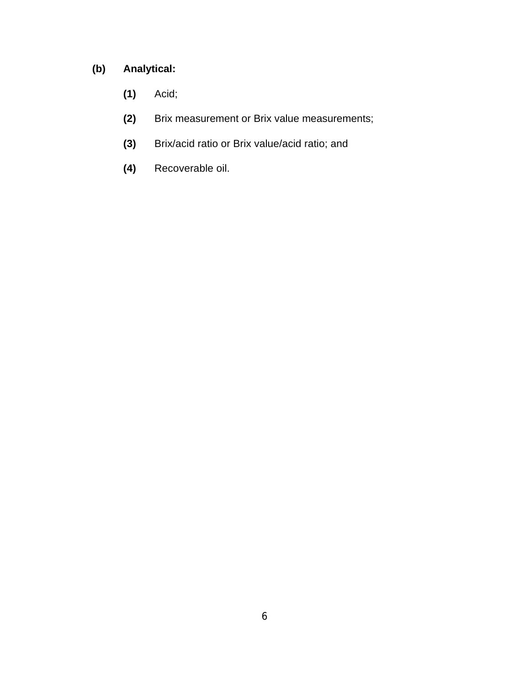# **(b) Analytical:**

- **(1)** Acid;
- **(2)** Brix measurement or Brix value measurements;
- **(3)** Brix/acid ratio or Brix value/acid ratio; and
- **(4)** Recoverable oil.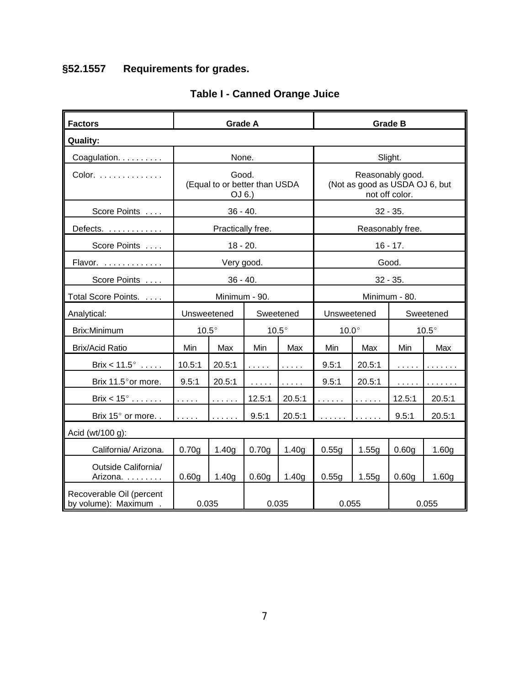# **§52.1557 Requirements for grades.**

| <b>Factors</b>                                    | <b>Grade A</b>                                                                          |                                                  |                   |                                           | <b>Grade B</b> |                                                                      |                                           |                   |  |  |
|---------------------------------------------------|-----------------------------------------------------------------------------------------|--------------------------------------------------|-------------------|-------------------------------------------|----------------|----------------------------------------------------------------------|-------------------------------------------|-------------------|--|--|
| <b>Quality:</b>                                   |                                                                                         |                                                  |                   |                                           |                |                                                                      |                                           |                   |  |  |
| Coagulation.                                      |                                                                                         | None.                                            |                   |                                           | Slight.        |                                                                      |                                           |                   |  |  |
| Color.                                            |                                                                                         | Good.<br>(Equal to or better than USDA<br>OJ 6.) |                   |                                           |                | Reasonably good.<br>(Not as good as USDA OJ 6, but<br>not off color. |                                           |                   |  |  |
| Score Points                                      |                                                                                         | $36 - 40.$                                       |                   |                                           |                | $32 - 35.$                                                           |                                           |                   |  |  |
| Defects.                                          |                                                                                         | Practically free.                                |                   |                                           |                |                                                                      | Reasonably free.                          |                   |  |  |
| Score Points                                      |                                                                                         | $18 - 20.$                                       |                   |                                           |                |                                                                      | $16 - 17.$                                |                   |  |  |
| Flavor.                                           |                                                                                         | Very good.                                       |                   |                                           | Good.          |                                                                      |                                           |                   |  |  |
| Score Points                                      |                                                                                         | $36 - 40.$                                       |                   |                                           |                | $32 - 35.$                                                           |                                           |                   |  |  |
| Total Score Points.                               |                                                                                         | Minimum - 90.                                    |                   |                                           | Minimum - 80.  |                                                                      |                                           |                   |  |  |
| Analytical:                                       | Unsweetened                                                                             |                                                  | Sweetened         |                                           | Unsweetened    |                                                                      | Sweetened                                 |                   |  |  |
| Brix:Minimum                                      | $10.5^\circ$                                                                            |                                                  | $10.5^\circ$      |                                           | $10.0^\circ$   |                                                                      | $10.5^\circ$                              |                   |  |  |
| <b>Brix/Acid Ratio</b>                            | Min                                                                                     | Max                                              | Min               | Max                                       | Min            | Max                                                                  | Min                                       | Max               |  |  |
| Brix < $11.5^\circ$                               | 10.5:1                                                                                  | 20.5:1                                           | .                 | $\alpha$ , $\alpha$ , $\alpha$ , $\alpha$ | 9.5:1          | 20.5:1                                                               | $\sim$ $\sim$ $\sim$ $\sim$ $\sim$        | .                 |  |  |
| Brix 11.5° or more.                               | 9.5:1                                                                                   | 20.5:1                                           | .                 | $\ldots$                                  | 9.5:1          | 20.5:1                                                               | $\alpha$ , $\alpha$ , $\alpha$ , $\alpha$ | .                 |  |  |
| Brix $< 15^\circ$                                 | $\mathcal{L}^{\mathcal{L}}$ , $\mathcal{L}^{\mathcal{L}}$ , $\mathcal{L}^{\mathcal{L}}$ | $\alpha$ , $\alpha$ , $\alpha$ , $\alpha$        | 12.5:1            | 20.5:1                                    | .              | $\alpha$ , $\alpha$ , $\alpha$ , $\alpha$                            | 12.5:1                                    | 20.5:1            |  |  |
| Brix 15° or more                                  | .                                                                                       | $\alpha$ , $\alpha$ , $\alpha$ , $\alpha$        | 9.5:1             | 20.5:1                                    | .              | $\alpha$ , $\alpha$ , $\alpha$ , $\alpha$                            | 9.5:1                                     | 20.5:1            |  |  |
| Acid (wt/100 g):                                  |                                                                                         |                                                  |                   |                                           |                |                                                                      |                                           |                   |  |  |
| California/ Arizona.                              | 0.70g                                                                                   | 1.40 <sub>g</sub>                                | 0.70 <sub>g</sub> | 1.40 <sub>g</sub>                         | 0.55g          | 1.55g                                                                | 0.60 <sub>g</sub>                         | 1.60g             |  |  |
| Outside California/<br>Arizona.                   | 0.60 <sub>g</sub>                                                                       | 1.40 <sub>q</sub>                                | 0.60 <sub>q</sub> | 1.40 <sub>q</sub>                         | 0.55g          | 1.55g                                                                | 0.60 <sub>q</sub>                         | 1.60 <sub>g</sub> |  |  |
| Recoverable Oil (percent<br>by volume): Maximum . | 0.035                                                                                   |                                                  | 0.035             |                                           | 0.055          |                                                                      | 0.055                                     |                   |  |  |

## **Table I - Canned Orange Juice**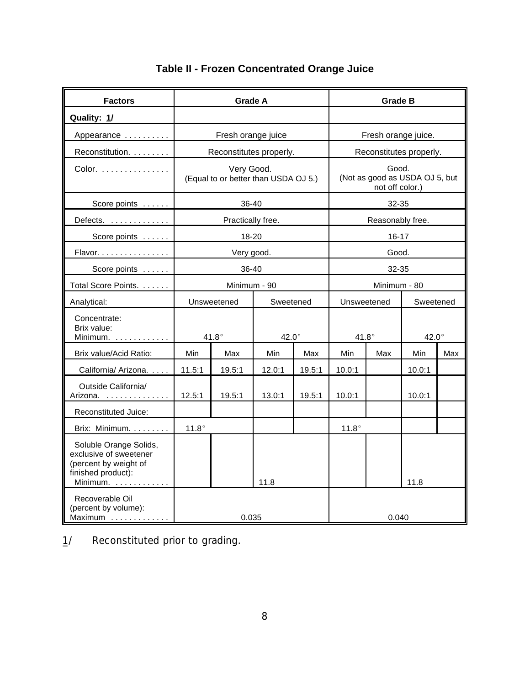| <b>Factors</b>                                                                                                                  | <b>Grade A</b> |                                                    |              |        | <b>Grade B</b>                                             |                  |                         |     |  |
|---------------------------------------------------------------------------------------------------------------------------------|----------------|----------------------------------------------------|--------------|--------|------------------------------------------------------------|------------------|-------------------------|-----|--|
| Quality: 1/                                                                                                                     |                |                                                    |              |        |                                                            |                  |                         |     |  |
| Appearance                                                                                                                      |                | Fresh orange juice                                 |              |        | Fresh orange juice.                                        |                  |                         |     |  |
| Reconstitution.                                                                                                                 |                | Reconstitutes properly.                            |              |        |                                                            |                  | Reconstitutes properly. |     |  |
| Color. $\ldots$                                                                                                                 |                | Very Good.<br>(Equal to or better than USDA OJ 5.) |              |        | Good.<br>(Not as good as USDA OJ 5, but<br>not off color.) |                  |                         |     |  |
| Score points                                                                                                                    |                | 36-40                                              |              |        |                                                            | 32-35            |                         |     |  |
| Defects.                                                                                                                        |                | Practically free.                                  |              |        |                                                            | Reasonably free. |                         |     |  |
| Score points                                                                                                                    |                | 18-20                                              |              |        |                                                            | $16 - 17$        |                         |     |  |
| Flavor.                                                                                                                         |                | Very good.                                         |              |        |                                                            | Good.            |                         |     |  |
| Score points                                                                                                                    |                | 36-40                                              |              |        | 32-35                                                      |                  |                         |     |  |
| Total Score Points.                                                                                                             |                |                                                    | Minimum - 90 |        | Minimum - 80                                               |                  |                         |     |  |
| Analytical:                                                                                                                     |                | Unsweetened                                        | Sweetened    |        | Unsweetened                                                |                  | Sweetened               |     |  |
| Concentrate:<br>Brix value:<br>Minimum.                                                                                         |                | $41.8^\circ$                                       | $42.0^\circ$ |        | $41.8^\circ$                                               |                  | $42.0^\circ$            |     |  |
| Brix value/Acid Ratio:                                                                                                          | Min            | Max                                                | Min          | Max    | Min                                                        | Max              | Min                     | Max |  |
| California/ Arizona.                                                                                                            | 11.5:1         | 19.5:1                                             | 12.0:1       | 19.5:1 | 10.0:1                                                     |                  | 10.0:1                  |     |  |
| Outside California/<br>Arizona.                                                                                                 | 12.5:1         | 19.5:1                                             | 13.0:1       | 19.5:1 | 10.0:1                                                     |                  | 10.0:1                  |     |  |
| Reconstituted Juice:                                                                                                            |                |                                                    |              |        |                                                            |                  |                         |     |  |
| Brix: Minimum.                                                                                                                  | $11.8^\circ$   |                                                    |              |        | $11.8^\circ$                                               |                  |                         |     |  |
| Soluble Orange Solids,<br>exclusive of sweetener<br>(percent by weight of<br>finished product):<br>Minimum. $\dots \dots \dots$ |                |                                                    | 11.8         |        |                                                            |                  | 11.8                    |     |  |
| Recoverable Oil<br>(percent by volume):<br>Maximum                                                                              |                | 0.035                                              |              |        |                                                            | 0.040            |                         |     |  |

# **Table II - Frozen Concentrated Orange Juice**

1/ Reconstituted prior to grading.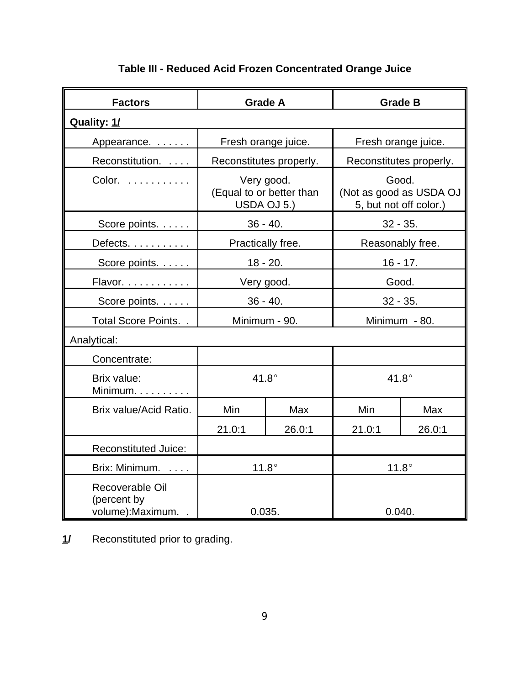| <b>Factors</b>                                     |        | <b>Grade A</b>                                        | <b>Grade B</b>                                             |                         |  |  |
|----------------------------------------------------|--------|-------------------------------------------------------|------------------------------------------------------------|-------------------------|--|--|
| Quality: 1/                                        |        |                                                       |                                                            |                         |  |  |
| Appearance.                                        |        | Fresh orange juice.                                   | Fresh orange juice.                                        |                         |  |  |
| Reconstitution.                                    |        | Reconstitutes properly.                               |                                                            | Reconstitutes properly. |  |  |
| Color.                                             |        | Very good.<br>(Equal to or better than<br>USDA OJ 5.) | Good.<br>(Not as good as USDA OJ<br>5, but not off color.) |                         |  |  |
| Score points.                                      |        | $36 - 40.$                                            | $32 - 35.$                                                 |                         |  |  |
| Defects.                                           |        | Practically free.                                     |                                                            | Reasonably free.        |  |  |
| Score points.                                      |        | $18 - 20.$                                            | 16 - 17.                                                   |                         |  |  |
| Flavor.                                            |        | Very good.                                            | Good.                                                      |                         |  |  |
| Score points.                                      |        | $36 - 40.$                                            | $32 - 35.$                                                 |                         |  |  |
| Total Score Points                                 |        | Minimum - 90.                                         | Minimum - 80.                                              |                         |  |  |
| Analytical:                                        |        |                                                       |                                                            |                         |  |  |
| Concentrate:                                       |        |                                                       |                                                            |                         |  |  |
| Brix value:<br>Minimum.                            |        | $41.8^\circ$                                          | $41.8^\circ$                                               |                         |  |  |
| Brix value/Acid Ratio.                             | Min    | Max                                                   | Min                                                        | Max                     |  |  |
|                                                    | 21.0:1 | 26.0:1                                                | 21.0:1                                                     | 26.0:1                  |  |  |
| <b>Reconstituted Juice:</b>                        |        |                                                       |                                                            |                         |  |  |
| Brix: Minimum.                                     |        | $11.8^\circ$                                          | $11.8^\circ$                                               |                         |  |  |
| Recoverable Oil<br>(percent by<br>volume): Maximum | 0.035. |                                                       |                                                            | 0.040.                  |  |  |

# **Table III - Reduced Acid Frozen Concentrated Orange Juice**

**\_1/** Reconstituted prior to grading.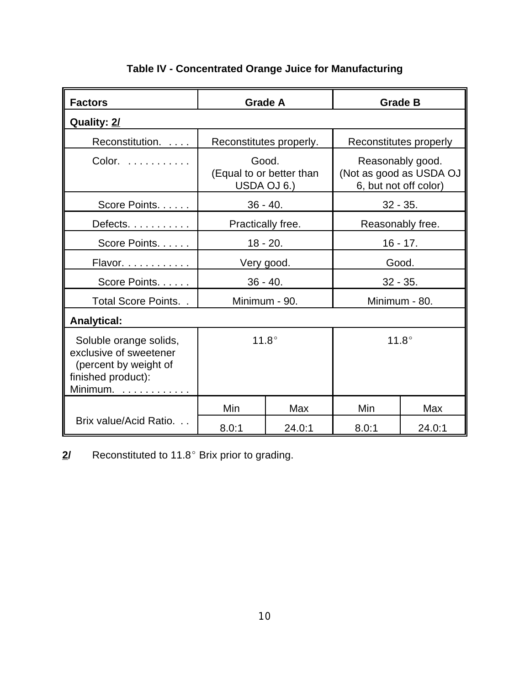| <b>Factors</b>                                                                                                         |                                                  | <b>Grade A</b>          |                                                                      | <b>Grade B</b> |  |
|------------------------------------------------------------------------------------------------------------------------|--------------------------------------------------|-------------------------|----------------------------------------------------------------------|----------------|--|
| Quality: 2/                                                                                                            |                                                  |                         |                                                                      |                |  |
| Reconstitution.                                                                                                        |                                                  | Reconstitutes properly. | Reconstitutes properly                                               |                |  |
| Color.                                                                                                                 | Good.<br>(Equal to or better than<br>USDA OJ 6.) |                         | Reasonably good.<br>(Not as good as USDA OJ<br>6, but not off color) |                |  |
| Score Points                                                                                                           |                                                  | $36 - 40.$              |                                                                      | $32 - 35.$     |  |
| Defects.                                                                                                               | Practically free.                                |                         | Reasonably free.                                                     |                |  |
| Score Points.                                                                                                          |                                                  | $18 - 20.$              | $16 - 17.$                                                           |                |  |
| Flavor.                                                                                                                | Very good.                                       |                         | Good.                                                                |                |  |
| Score Points.                                                                                                          | $36 - 40.$                                       |                         | $32 - 35.$                                                           |                |  |
| Total Score Points                                                                                                     | Minimum - 90.                                    |                         | Minimum - 80.                                                        |                |  |
| <b>Analytical:</b>                                                                                                     |                                                  |                         |                                                                      |                |  |
| Soluble orange solids,<br>exclusive of sweetener<br>(percent by weight of<br>finished product):<br>Minimum. . <u>.</u> | $11.8^\circ$                                     |                         | $11.8^\circ$                                                         |                |  |
|                                                                                                                        | Min                                              | Max                     | Min                                                                  | Max            |  |
| Brix value/Acid Ratio.                                                                                                 | 8.0:1                                            | 24.0:1                  | 8.0:1                                                                | 24.0:1         |  |

# **Table IV - Concentrated Orange Juice for Manufacturing**

2/ Reconstituted to 11.8° Brix prior to grading.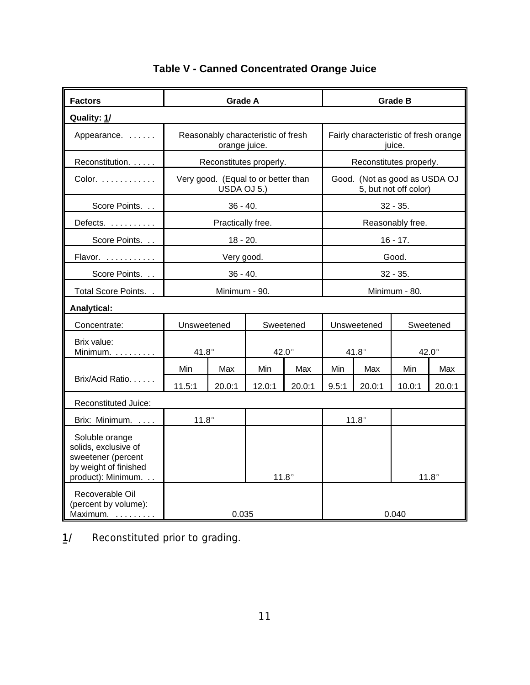| <b>Factors</b>                                                                                              | <b>Grade A</b>                                     |                         |                                    |              | <b>Grade B</b>                                  |                               |                         |              |  |
|-------------------------------------------------------------------------------------------------------------|----------------------------------------------------|-------------------------|------------------------------------|--------------|-------------------------------------------------|-------------------------------|-------------------------|--------------|--|
| Quality: 1/                                                                                                 |                                                    |                         |                                    |              |                                                 |                               |                         |              |  |
| Appearance.                                                                                                 |                                                    | orange juice.           | Reasonably characteristic of fresh |              | Fairly characteristic of fresh orange<br>juice. |                               |                         |              |  |
| Reconstitution.                                                                                             |                                                    | Reconstitutes properly. |                                    |              |                                                 |                               | Reconstitutes properly. |              |  |
| $Color. \ldots \ldots \ldots$                                                                               | Very good. (Equal to or better than<br>USDA OJ 5.) |                         |                                    |              |                                                 | Good. (Not as good as USDA OJ | 5, but not off color)   |              |  |
| Score Points                                                                                                |                                                    | $36 - 40.$              |                                    |              |                                                 |                               | $32 - 35.$              |              |  |
| Defects.                                                                                                    |                                                    | Practically free.       |                                    |              |                                                 |                               | Reasonably free.        |              |  |
| Score Points                                                                                                |                                                    | $18 - 20.$              |                                    |              |                                                 |                               | $16 - 17.$              |              |  |
| Flavor.                                                                                                     |                                                    | Very good.              |                                    |              |                                                 | Good.                         |                         |              |  |
| Score Points                                                                                                | $36 - 40.$                                         |                         |                                    |              | $32 - 35.$                                      |                               |                         |              |  |
| Total Score Points. .                                                                                       |                                                    | Minimum - 90.           |                                    |              | Minimum - 80.                                   |                               |                         |              |  |
| Analytical:                                                                                                 |                                                    |                         |                                    |              |                                                 |                               |                         |              |  |
| Concentrate:                                                                                                | Unsweetened                                        |                         | Sweetened                          |              | Unsweetened                                     |                               | Sweetened               |              |  |
| Brix value:<br>Minimum. $\ldots$                                                                            | $41.8^\circ$                                       |                         | $42.0^\circ$                       |              | $41.8^\circ$                                    |                               | 42.0°                   |              |  |
|                                                                                                             | Min                                                | Max                     | Min                                | Max          | Min                                             | Max                           | Min                     | Max          |  |
| Brix/Acid Ratio.                                                                                            | 11.5:1                                             | 20.0:1                  | 12.0:1                             | 20.0:1       | 9.5:1                                           | 20.0:1                        | 10.0:1                  | 20.0:1       |  |
| Reconstituted Juice:                                                                                        |                                                    |                         |                                    |              |                                                 |                               |                         |              |  |
| Brix: Minimum.                                                                                              | $11.8^\circ$                                       |                         |                                    |              | $11.8^\circ$                                    |                               |                         |              |  |
| Soluble orange<br>solids, exclusive of<br>sweetener (percent<br>by weight of finished<br>product): Minimum. |                                                    |                         |                                    | $11.8^\circ$ |                                                 |                               |                         | $11.8^\circ$ |  |
| Recoverable Oil<br>(percent by volume):<br>Maximum.                                                         |                                                    | 0.035                   |                                    |              |                                                 |                               | 0.040                   |              |  |

# **Table V - Canned Concentrated Orange Juice**

1/ Reconstituted prior to grading.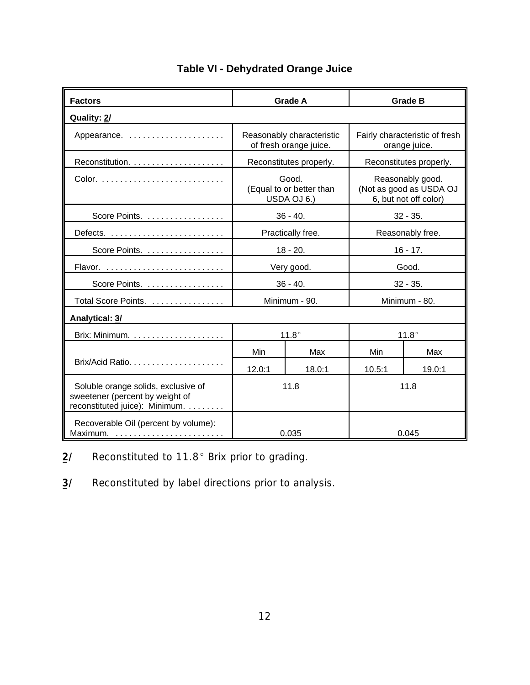| <b>Factors</b>                                                                                           |        | <b>Grade A</b>                                      | <b>Grade B</b>                                                       |               |  |  |
|----------------------------------------------------------------------------------------------------------|--------|-----------------------------------------------------|----------------------------------------------------------------------|---------------|--|--|
| Quality: 2/                                                                                              |        |                                                     |                                                                      |               |  |  |
| Appearance.                                                                                              |        | Reasonably characteristic<br>of fresh orange juice. | Fairly characteristic of fresh<br>orange juice.                      |               |  |  |
| Reconstitution.                                                                                          |        | Reconstitutes properly.                             | Reconstitutes properly.                                              |               |  |  |
|                                                                                                          |        | Good.<br>(Equal to or better than<br>USDA OJ 6.)    | Reasonably good.<br>(Not as good as USDA OJ<br>6, but not off color) |               |  |  |
| Score Points.                                                                                            |        | $36 - 40.$                                          | $32 - 35.$                                                           |               |  |  |
|                                                                                                          |        | Practically free.                                   | Reasonably free.                                                     |               |  |  |
| Score Points.                                                                                            |        | $18 - 20.$                                          | $16 - 17.$                                                           |               |  |  |
|                                                                                                          |        | Very good.                                          | Good.                                                                |               |  |  |
| Score Points.                                                                                            |        | $36 - 40.$                                          | $32 - 35.$                                                           |               |  |  |
| Total Score Points.                                                                                      |        | Minimum - 90.                                       |                                                                      | Minimum - 80. |  |  |
| Analytical: 3/                                                                                           |        |                                                     |                                                                      |               |  |  |
|                                                                                                          |        | $11.8^\circ$                                        | $11.8^\circ$                                                         |               |  |  |
|                                                                                                          | Min    | Max                                                 | Min                                                                  | Max           |  |  |
|                                                                                                          | 12.0:1 | 18.0:1                                              | 10.5:1                                                               | 19.0:1        |  |  |
| Soluble orange solids, exclusive of<br>sweetener (percent by weight of<br>reconstituted juice): Minimum. |        | 11.8                                                |                                                                      | 11.8          |  |  |
| Recoverable Oil (percent by volume):<br>Maximum. <u></u>                                                 |        | 0.035                                               | 0.045                                                                |               |  |  |

## **Table VI - Dehydrated Orange Juice**

2/ Reconstituted to 11.8° Brix prior to grading.

**3/** Reconstituted by label directions prior to analysis.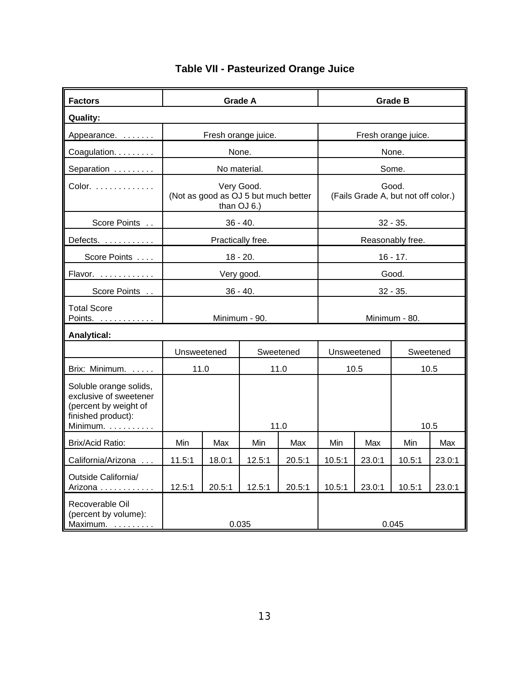| <b>Factors</b>                                                                                              | <b>Grade A</b>                                                    |        |                     |           | <b>Grade B</b>      |             |                                              |           |  |  |
|-------------------------------------------------------------------------------------------------------------|-------------------------------------------------------------------|--------|---------------------|-----------|---------------------|-------------|----------------------------------------------|-----------|--|--|
| <b>Quality:</b>                                                                                             |                                                                   |        |                     |           |                     |             |                                              |           |  |  |
| Appearance.                                                                                                 |                                                                   |        | Fresh orange juice. |           | Fresh orange juice. |             |                                              |           |  |  |
| Coagulation.                                                                                                | None.                                                             |        |                     |           | None.               |             |                                              |           |  |  |
| Separation                                                                                                  | No material.                                                      |        |                     |           |                     |             | Some.                                        |           |  |  |
| $Color.$                                                                                                    | Very Good.<br>(Not as good as OJ 5 but much better<br>than OJ 6.) |        |                     |           |                     |             | Good.<br>(Fails Grade A, but not off color.) |           |  |  |
| Score Points                                                                                                | $36 - 40.$                                                        |        |                     |           |                     |             | $32 - 35.$                                   |           |  |  |
| Defects.                                                                                                    | Practically free.                                                 |        |                     |           |                     |             | Reasonably free.                             |           |  |  |
| Score Points                                                                                                | $18 - 20.$                                                        |        |                     |           |                     |             | $16 - 17.$                                   |           |  |  |
| Flavor.                                                                                                     | Very good.                                                        |        |                     |           | Good.               |             |                                              |           |  |  |
| Score Points                                                                                                |                                                                   |        | $36 - 40.$          |           | $32 - 35.$          |             |                                              |           |  |  |
| <b>Total Score</b><br>Points.                                                                               | Minimum - 90.                                                     |        |                     |           | Minimum - 80.       |             |                                              |           |  |  |
| <b>Analytical:</b>                                                                                          |                                                                   |        |                     |           |                     |             |                                              |           |  |  |
|                                                                                                             | Unsweetened                                                       |        |                     | Sweetened |                     | Unsweetened |                                              | Sweetened |  |  |
| Brix: Minimum.                                                                                              | 11.0                                                              |        | 11.0                |           | 10.5                |             | 10.5                                         |           |  |  |
| Soluble orange solids,<br>exclusive of sweetener<br>(percent by weight of<br>finished product):<br>Minimum. |                                                                   |        | 11.0                |           |                     |             |                                              | 10.5      |  |  |
| Brix/Acid Ratio:                                                                                            | Min                                                               | Max    | Min                 | Max       | Min                 | Max         | Min                                          | Max       |  |  |
| California/Arizona                                                                                          | 11.5:1                                                            | 18.0:1 | 12.5:1              | 20.5:1    | 10.5:1              | 23.0:1      | 10.5:1                                       | 23.0:1    |  |  |
| Outside California/<br>Arizona                                                                              | 12.5:1                                                            | 20.5:1 | 12.5:1              | 20.5:1    | 10.5:1              | 23.0:1      | 10.5:1                                       | 23.0:1    |  |  |
| Recoverable Oil<br>(percent by volume):<br>Maximum.                                                         | 0.035                                                             |        |                     |           |                     |             | 0.045                                        |           |  |  |

# **Table VII - Pasteurized Orange Juice**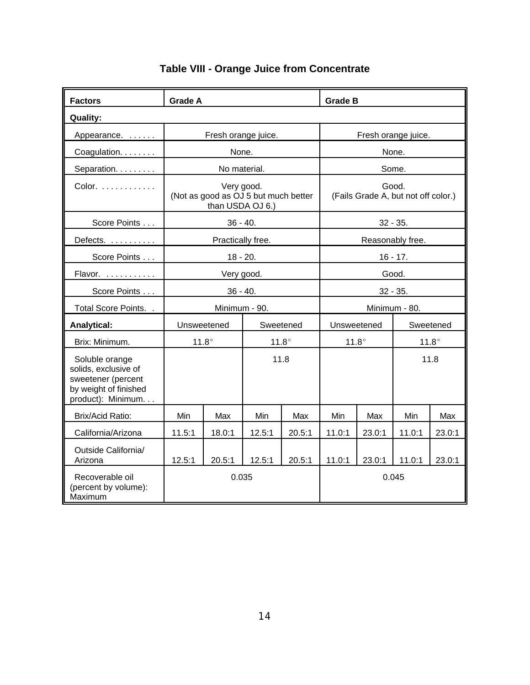| <b>Factors</b>                                                                                              | <b>Grade A</b>                                                         |                     |              |                                              | <b>Grade B</b> |                     |              |        |  |
|-------------------------------------------------------------------------------------------------------------|------------------------------------------------------------------------|---------------------|--------------|----------------------------------------------|----------------|---------------------|--------------|--------|--|
| <b>Quality:</b>                                                                                             |                                                                        |                     |              |                                              |                |                     |              |        |  |
| Appearance.                                                                                                 |                                                                        | Fresh orange juice. |              |                                              |                | Fresh orange juice. |              |        |  |
| Coagulation.                                                                                                |                                                                        | None.               |              |                                              |                |                     | None.        |        |  |
| Separation.                                                                                                 |                                                                        | No material.        |              |                                              |                |                     | Some.        |        |  |
| Color.                                                                                                      | Very good.<br>(Not as good as OJ 5 but much better<br>than USDA OJ 6.) |                     |              | Good.<br>(Fails Grade A, but not off color.) |                |                     |              |        |  |
| Score Points                                                                                                | $36 - 40.$                                                             |                     |              |                                              |                | $32 - 35.$          |              |        |  |
| Defects.                                                                                                    | Practically free.                                                      |                     |              | Reasonably free.                             |                |                     |              |        |  |
| Score Points                                                                                                | $18 - 20.$                                                             |                     |              | $16 - 17.$                                   |                |                     |              |        |  |
| Flavor.                                                                                                     | Very good.                                                             |                     |              | Good.                                        |                |                     |              |        |  |
| Score Points                                                                                                | $36 - 40.$                                                             |                     |              | $32 - 35.$                                   |                |                     |              |        |  |
| Total Score Points                                                                                          |                                                                        | Minimum - 90.       |              |                                              | Minimum - 80.  |                     |              |        |  |
| Analytical:                                                                                                 | Unsweetened                                                            |                     | Sweetened    |                                              | Unsweetened    |                     | Sweetened    |        |  |
| Brix: Minimum.                                                                                              |                                                                        | $11.8^\circ$        | $11.8^\circ$ |                                              | $11.8^\circ$   |                     | $11.8^\circ$ |        |  |
| Soluble orange<br>solids, exclusive of<br>sweetener (percent<br>by weight of finished<br>product): Minimum. |                                                                        |                     | 11.8         |                                              |                |                     |              | 11.8   |  |
| Brix/Acid Ratio:                                                                                            | Min                                                                    | Max                 | Min          | Max                                          | Min            | Max                 | Min          | Max    |  |
| California/Arizona                                                                                          | 11.5:1                                                                 | 18.0:1              | 12.5:1       | 20.5:1                                       | 11.0:1         | 23.0:1              | 11.0:1       | 23.0:1 |  |
| Outside California/<br>Arizona                                                                              | 12.5:1                                                                 | 20.5:1              | 12.5:1       | 20.5:1                                       | 11.0:1         | 23.0:1              | 11.0:1       | 23.0:1 |  |
| Recoverable oil<br>(percent by volume):<br>Maximum                                                          | 0.035                                                                  |                     |              |                                              |                |                     | 0.045        |        |  |

# **Table VIII - Orange Juice from Concentrate**